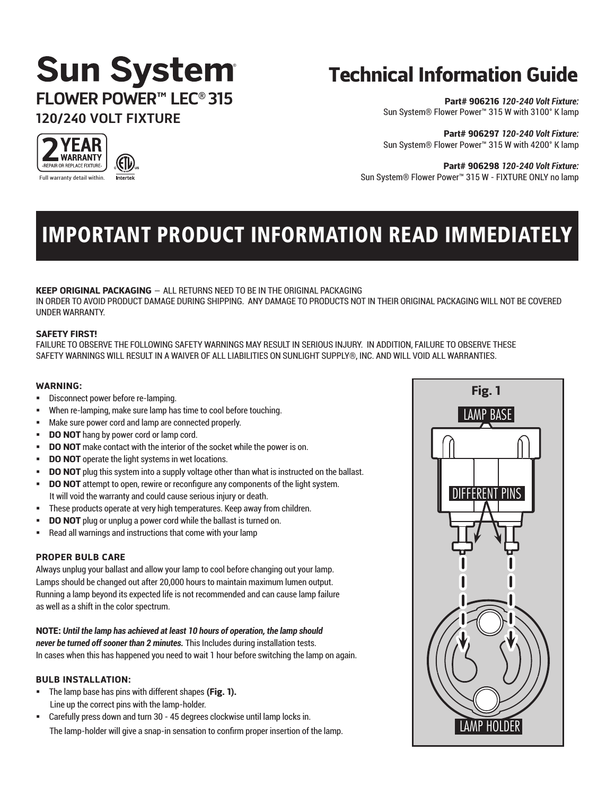## **Sun System FLOWER POWER™ LEC® 315 120/240 VOLT FIXTURE**

## Technical Information Guide

Part# 906216 *120-240 Volt Fixture:* Sun System® Flower Power™ 315 W with 3100° K lamp

Part# 906297 *120-240 Volt Fixture:* Sun System® Flower Power™ 315 W with 4200° K lamp

Part# 906298 *120-240 Volt Fixture:* Sun System® Flower Power™ 315 W - FIXTURE ONLY no lamp

## IMPORTANT PRODUCT INFORMATION READ IMMEDIATELY

#### KEEP ORIGINAL PACKAGING – ALL RETURNS NEED TO BE IN THE ORIGINAL PACKAGING

IN ORDER TO AVOID PRODUCT DAMAGE DURING SHIPPING. ANY DAMAGE TO PRODUCTS NOT IN THEIR ORIGINAL PACKAGING WILL NOT BE COVERED UNDER WARRANTY.

#### SAFETY FIRST!

FAILURE TO OBSERVE THE FOLLOWING SAFETY WARNINGS MAY RESULT IN SERIOUS INJURY. IN ADDITION, FAILURE TO OBSERVE THESE SAFETY WARNINGS WILL RESULT IN A WAIVER OF ALL LIABILITIES ON SUNLIGHT SUPPLY®, INC. AND WILL VOID ALL WARRANTIES.

#### WARNING:

- Disconnect power before re-lamping.
- When re-lamping, make sure lamp has time to cool before touching.
- Make sure power cord and lamp are connected properly.
- DO NOT hang by power cord or lamp cord.
- DO NOT make contact with the interior of the socket while the power is on.
- DO NOT operate the light systems in wet locations.
- DO NOT plug this system into a supply voltage other than what is instructed on the ballast.
- DO NOT attempt to open, rewire or reconfigure any components of the light system. It will void the warranty and could cause serious injury or death.
- These products operate at very high temperatures. Keep away from children.
- DO NOT plug or unplug a power cord while the ballast is turned on.
- Read all warnings and instructions that come with your lamp

#### PROPER BULB CARE

Always unplug your ballast and allow your lamp to cool before changing out your lamp. Lamps should be changed out after 20,000 hours to maintain maximum lumen output. Running a lamp beyond its expected life is not recommended and can cause lamp failure as well as a shift in the color spectrum.

#### NOTE: *Until the lamp has achieved at least 10 hours of operation, the lamp should*

*never be turned off sooner than 2 minutes.* This Includes during installation tests. In cases when this has happened you need to wait 1 hour before switching the lamp on again.

#### BULB INSTALLATION:

- The lamp base has pins with different shapes (Fig. 1). Line up the correct pins with the lamp-holder.
- Carefully press down and turn 30 45 degrees clockwise until lamp locks in. The lamp-holder will give a snap-in sensation to confirm proper insertion of the lamp.



YEAR **WARRANTY** -REPAIR OR REPLACE FIXTURE-Full warranty detail within.